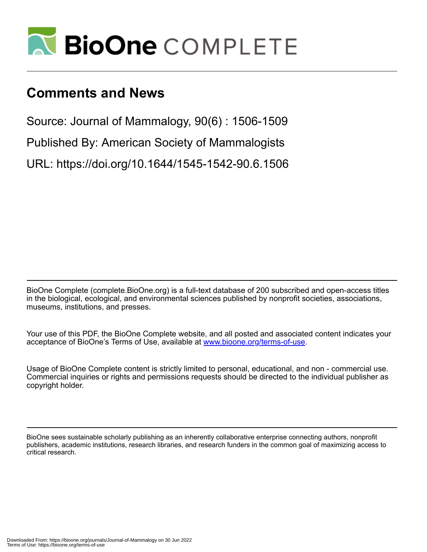

# **Comments and News**

Source: Journal of Mammalogy, 90(6) : 1506-1509

Published By: American Society of Mammalogists

URL: https://doi.org/10.1644/1545-1542-90.6.1506

BioOne Complete (complete.BioOne.org) is a full-text database of 200 subscribed and open-access titles in the biological, ecological, and environmental sciences published by nonprofit societies, associations, museums, institutions, and presses.

Your use of this PDF, the BioOne Complete website, and all posted and associated content indicates your acceptance of BioOne's Terms of Use, available at www.bioone.org/terms-of-use.

Usage of BioOne Complete content is strictly limited to personal, educational, and non - commercial use. Commercial inquiries or rights and permissions requests should be directed to the individual publisher as copyright holder.

BioOne sees sustainable scholarly publishing as an inherently collaborative enterprise connecting authors, nonprofit publishers, academic institutions, research libraries, and research funders in the common goal of maximizing access to critical research.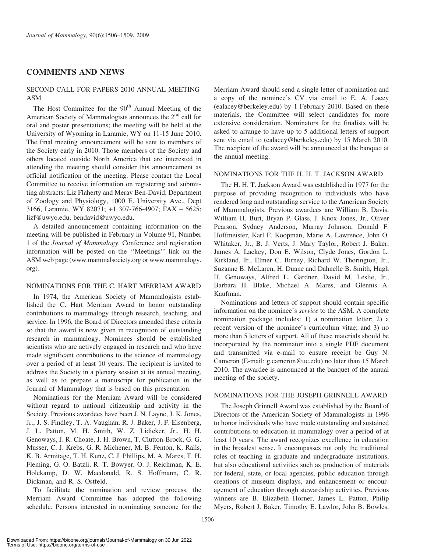## COMMENTS AND NEWS

## SECOND CALL FOR PAPERS 2010 ANNUAL MEETING ASM

The Host Committee for the  $90<sup>th</sup>$  Annual Meeting of the American Society of Mammalogists announces the 2<sup>nd</sup> call for oral and poster presentations; the meeting will be held at the University of Wyoming in Laramie, WY on 11-15 June 2010. The final meeting announcement will be sent to members of the Society early in 2010. Those members of the Society and others located outside North America that are interested in attending the meeting should consider this announcement as official notification of the meeting. Please contact the Local Committee to receive information on registering and submitting abstracts: Liz Flaherty and Merav Ben-David, Department of Zoology and Physiology, 1000 E. University Ave., Dept 3166, Laramie, WY 82071; +1 307-766-4907; FAX – 5625; lizf@uwyo.edu, bendavid@uwyo.edu.

A detailed announcement containing information on the meeting will be published in February in Volume 91, Number 1 of the Journal of Mammalogy. Conference and registration information will be posted on the ''Meetings'' link on the ASM web page (www.mammalsociety.org or www.mammalogy. org).

#### NOMINATIONS FOR THE C. HART MERRIAM AWARD

In 1974, the American Society of Mammalogists established the C. Hart Merriam Award to honor outstanding contributions to mammalogy through research, teaching, and service. In 1996, the Board of Directors amended these criteria so that the award is now given in recognition of outstanding research in mammalogy. Nominees should be established scientists who are actively engaged in research and who have made significant contributions to the science of mammalogy over a period of at least 10 years. The recipient is invited to address the Society in a plenary session at its annual meeting, as well as to prepare a manuscript for publication in the Journal of Mammalogy that is based on this presentation.

Nominations for the Merriam Award will be considered without regard to national citizenship and activity in the Society. Previous awardees have been J. N. Layne, J. K. Jones, Jr., J. S. Findley, T. A. Vaughan, R. J. Baker, J. F. Eisenberg, J. L. Patton, M. H. Smith, W. Z. Lidicker, Jr., H. H. Genoways, J. R. Choate, J. H. Brown, T. Clutton-Brock, G. G. Musser, C. J. Krebs, G. R. Michener, M. B. Fenton, K. Ralls, K. B. Armitage, T. H. Kunz, C. J. Phillips, M. A. Mares, T. H. Fleming, G. O. Batzli, R. T. Bowyer, O. J. Reichman, K. E. Holekamp, D. W. Macdonald, R. S. Hoffmann, C. R. Dickman, and R. S. Ostfeld.

To facilitate the nomination and review process, the Merriam Award Committee has adopted the following schedule. Persons interested in nominating someone for the Merriam Award should send a single letter of nomination and a copy of the nominee's CV via email to E. A. Lacey (ealacey@berkeley.edu) by 1 February 2010. Based on these materials, the Committee will select candidates for more extensive consideration. Nominators for the finalists will be asked to arrange to have up to 5 additional letters of support sent via email to (ealacey@berkeley.edu) by 15 March 2010. The recipient of the award will be announced at the banquet at the annual meeting.

#### NOMINATIONS FOR THE H. H. T. JACKSON AWARD

The H. H. T. Jackson Award was established in 1977 for the purpose of providing recognition to individuals who have rendered long and outstanding service to the American Society of Mammalogists. Previous awardees are William B. Davis, William H. Burt, Bryan P. Glass, J. Knox Jones, Jr., Oliver Pearson, Sydney Anderson, Murray Johnson, Donald F. Hoffmeister, Karl F. Koopman, Marie A. Lawrence, John O. Whitaker, Jr., B. J. Verts, J. Mary Taylor, Robert J. Baker, James A. Lackey, Don E. Wilson, Clyde Jones, Gordon L. Kirkland, Jr., Elmer C. Birney, Richard W. Thorington, Jr., Suzanne B. McLaren, H. Duane and Dahnelle B. Smith, Hugh H. Genoways, Alfred L. Gardner, David M. Leslie, Jr., Barbara H. Blake, Michael A. Mares, and Glennis A. Kaufman.

Nominations and letters of support should contain specific information on the nominee's service to the ASM. A complete nomination package includes: 1) a nomination letter; 2) a recent version of the nominee's curriculum vitae; and 3) no more than 5 letters of support. All of these materials should be incorporated by the nominator into a single PDF document and transmitted via e-mail to ensure receipt be Guy N. Cameron (E-mail: g.cameron@uc.edu) no later than 15 March 2010. The awardee is announced at the banquet of the annual meeting of the society.

#### NOMINATIONS FOR THE JOSEPH GRINNELL AWARD

The Joseph Grinnell Award was established by the Board of Directors of the American Society of Mammalogists in 1996 to honor individuals who have made outstanding and sustained contributions to education in mammalogy over a period of at least 10 years. The award recognizes excellence in education in the broadest sense. It encompasses not only the traditional roles of teaching in graduate and undergraduate institutions, but also educational activities such as production of materials for federal, state, or local agencies, public education through creations of museum displays, and enhancement or encouragement of education through stewardship activities. Previous winners are B. Elizabeth Horner, James L. Patton, Philip Myers, Robert J. Baker, Timothy E. Lawlor, John B. Bowles,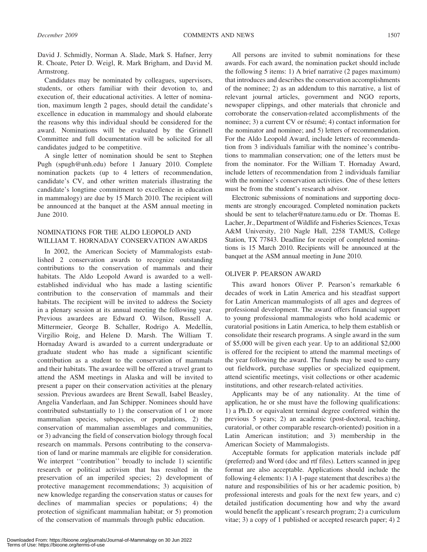David J. Schmidly, Norman A. Slade, Mark S. Hafner, Jerry R. Choate, Peter D. Weigl, R. Mark Brigham, and David M. Armstrong.

Candidates may be nominated by colleagues, supervisors, students, or others familiar with their devotion to, and execution of, their educational activities. A letter of nomination, maximum length 2 pages, should detail the candidate's excellence in education in mammalogy and should elaborate the reasons why this individual should be considered for the award. Nominations will be evaluated by the Grinnell Committee and full documentation will be solicited for all candidates judged to be competitive.

A single letter of nomination should be sent to Stephen Pugh (spugh@unh.edu) before 1 January 2010. Complete nomination packets (up to 4 letters of recommendation, candidate's CV, and other written materials illustrating the candidate's longtime commitment to excellence in education in mammalogy) are due by 15 March 2010. The recipient will be announced at the banquet at the ASM annual meeting in June 2010.

#### NOMINATIONS FOR THE ALDO LEOPOLD AND WILLIAM T. HORNADAY CONSERVATION AWARDS

In 2002, the American Society of Mammalogists established 2 conservation awards to recognize outstanding contributions to the conservation of mammals and their habitats. The Aldo Leopold Award is awarded to a wellestablished individual who has made a lasting scientific contribution to the conservation of mammals and their habitats. The recipient will be invited to address the Society in a plenary session at its annual meeting the following year. Previous awardees are Edward O. Wilson, Russell A. Mittermeier, George B. Schaller, Rodrigo A. Medellín, Virgilio Roig, and Helene D. Marsh. The William T. Hornaday Award is awarded to a current undergraduate or graduate student who has made a significant scientific contribution as a student to the conservation of mammals and their habitats. The awardee will be offered a travel grant to attend the ASM meetings in Alaska and will be invited to present a paper on their conservation activities at the plenary session. Previous awardees are Brent Sewall, Isabel Beasley, Angelia Vanderlaan, and Jan Schipper. Nominees should have contributed substantially to 1) the conservation of 1 or more mammalian species, subspecies, or populations, 2) the conservation of mammalian assemblages and communities, or 3) advancing the field of conservation biology through focal research on mammals. Persons contributing to the conservation of land or marine mammals are eligible for consideration. We interpret "contribution" broadly to include 1) scientific research or political activism that has resulted in the preservation of an imperiled species; 2) development of protective management recommendations; 3) acquisition of new knowledge regarding the conservation status or causes for declines of mammalian species or populations; 4) the protection of significant mammalian habitat; or 5) promotion of the conservation of mammals through public education.

All persons are invited to submit nominations for these awards. For each award, the nomination packet should include the following 5 items: 1) A brief narrative (2 pages maximum) that introduces and describes the conservation accomplishments of the nominee; 2) as an addendum to this narrative, a list of relevant journal articles, government and NGO reports, newspaper clippings, and other materials that chronicle and corroborate the conservation-related accomplishments of the nominee; 3) a current CV or résumé; 4) contact information for the nominator and nominee; and 5) letters of recommendation. For the Aldo Leopold Award, include letters of recommendation from 3 individuals familiar with the nominee's contributions to mammalian conservation; one of the letters must be from the nominator. For the William T. Hornaday Award, include letters of recommendation from 2 individuals familiar with the nominee's conservation activities. One of these letters must be from the student's research advisor.

Electronic submissions of nominations and supporting documents are strongly encouraged. Completed nomination packets should be sent to telacher@nature.tamu.edu or Dr. Thomas E. Lacher, Jr., Department of Wildlife and Fisheries Sciences, Texas A&M University, 210 Nagle Hall, 2258 TAMUS, College Station, TX 77843. Deadline for receipt of completed nominations is 15 March 2010. Recipients will be announced at the banquet at the ASM annual meeting in June 2010.

#### OLIVER P. PEARSON AWARD

This award honors Oliver P. Pearson's remarkable 6 decades of work in Latin America and his steadfast support for Latin American mammalogists of all ages and degrees of professional development. The award offers financial support to young professional mammalogists who hold academic or curatorial positions in Latin America, to help them establish or consolidate their research programs. A single award in the sum of \$5,000 will be given each year. Up to an additional \$2,000 is offered for the recipient to attend the mammal meetings of the year following the award. The funds may be used to carry out fieldwork, purchase supplies or specialized equipment, attend scientific meetings, visit collections or other academic institutions, and other research-related activities.

Applicants may be of any nationality. At the time of application, he or she must have the following qualifications: 1) a Ph.D. or equivalent terminal degree conferred within the previous 5 years; 2) an academic (post-doctoral, teaching, curatorial, or other comparable research-oriented) position in a Latin American institution; and 3) membership in the American Society of Mammalogists.

Acceptable formats for application materials include pdf (preferred) and Word (doc and rtf files). Letters scanned in jpeg format are also acceptable. Applications should include the following 4 elements: 1) A 1-page statement that describes a) the nature and responsibilities of his or her academic position, b) professional interests and goals for the next few years, and c) detailed justification documenting how and why the award would benefit the applicant's research program; 2) a curriculum vitae; 3) a copy of 1 published or accepted research paper; 4) 2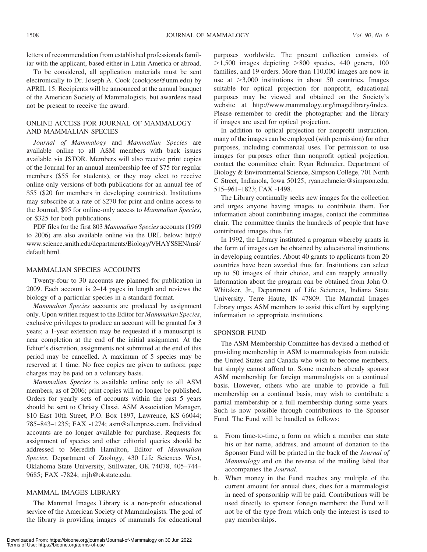letters of recommendation from established professionals familiar with the applicant, based either in Latin America or abroad.

To be considered, all application materials must be sent electronically to Dr. Joseph A. Cook (cookjose@unm.edu) by APRIL 15. Recipients will be announced at the annual banquet of the American Society of Mammalogists, but awardees need not be present to receive the award.

## ONLINE ACCESS FOR JOURNAL OF MAMMALOGY AND MAMMALIAN SPECIES

Journal of Mammalogy and Mammalian Species are available online to all ASM members with back issues available via JSTOR. Members will also receive print copies of the Journal for an annual membership fee of \$75 for regular members (\$55 for students), or they may elect to receive online only versions of both publications for an annual fee of \$55 (\$20 for members in developing countries). Institutions may subscribe at a rate of \$270 for print and online access to the Journal, \$95 for online-only access to Mammalian Species, or \$325 for both publications.

PDF files for the first 803 Mammalian Species accounts (1969 to 2006) are also available online via the URL below: http:// www.science.smith.edu/departments/Biology/VHAYSSEN/msi/ default.html.

## MAMMALIAN SPECIES ACCOUNTS

Twenty-four to 30 accounts are planned for publication in 2009. Each account is 2–14 pages in length and reviews the biology of a particular species in a standard format.

Mammalian Species accounts are produced by assignment only. Upon written request to the Editor for Mammalian Species, exclusive privileges to produce an account will be granted for 3 years; a 1-year extension may be requested if a manuscript is near completion at the end of the initial assignment. At the Editor's discretion, assignments not submitted at the end of this period may be cancelled. A maximum of 5 species may be reserved at 1 time. No free copies are given to authors; page charges may be paid on a voluntary basis.

Mammalian Species is available online only to all ASM members, as of 2006; print copies will no longer be published. Orders for yearly sets of accounts within the past 5 years should be sent to Christy Classi, ASM Association Manager, 810 East 10th Street, P.O. Box 1897, Lawrence, KS 66044; 785–843–1235; FAX -1274; asm@allenpress.com. Individual accounts are no longer available for purchase. Requests for assignment of species and other editorial queries should be addressed to Meredith Hamilton, Editor of Mammalian Species, Department of Zoology, 430 Life Sciences West, Oklahoma State University, Stillwater, OK 74078, 405–744– 9685; FAX -7824; mjh@okstate.edu.

## MAMMAL IMAGES LIBRARY

The Mammal Images Library is a non-profit educational service of the American Society of Mammalogists. The goal of the library is providing images of mammals for educational

purposes worldwide. The present collection consists of  $>1,500$  images depicting  $>800$  species, 440 genera, 100 families, and 19 orders. More than 110,000 images are now in use at  $>3,000$  institutions in about 50 countries. Images suitable for optical projection for nonprofit, educational purposes may be viewed and obtained on the Society's website at http://www.mammalogy.org/imagelibrary/index. Please remember to credit the photographer and the library if images are used for optical projection.

In addition to optical projection for nonprofit instruction, many of the images can be employed (with permission) for other purposes, including commercial uses. For permission to use images for purposes other than nonprofit optical projection, contact the committee chair: Ryan Rehmeier, Department of Biology & Environmental Science, Simpson College, 701 North C Street, Indianola, Iowa 50125; ryan.rehmeier@simpson.edu; 515–961–1823; FAX -1498.

The Library continually seeks new images for the collection and urges anyone having images to contribute them. For information about contributing images, contact the committee chair. The committee thanks the hundreds of people that have contributed images thus far.

In 1992, the Library instituted a program whereby grants in the form of images can be obtained by educational institutions in developing countries. About 40 grants to applicants from 20 countries have been awarded thus far. Institutions can select up to 50 images of their choice, and can reapply annually. Information about the program can be obtained from John O. Whitaker, Jr., Department of Life Sciences, Indiana State University, Terre Haute, IN 47809. The Mammal Images Library urges ASM members to assist this effort by supplying information to appropriate institutions.

#### SPONSOR FUND

The ASM Membership Committee has devised a method of providing membership in ASM to mammalogists from outside the United States and Canada who wish to become members, but simply cannot afford to. Some members already sponsor ASM membership for foreign mammalogists on a continual basis. However, others who are unable to provide a full membership on a continual basis, may wish to contribute a partial membership or a full membership during some years. Such is now possible through contributions to the Sponsor Fund. The Fund will be handled as follows:

- a. From time-to-time, a form on which a member can state his or her name, address, and amount of donation to the Sponsor Fund will be printed in the back of the Journal of Mammalogy and on the reverse of the mailing label that accompanies the Journal.
- b. When money in the Fund reaches any multiple of the current amount for annual dues, dues for a mammalogist in need of sponsorship will be paid. Contributions will be used directly to sponsor foreign members: the Fund will not be of the type from which only the interest is used to pay memberships.